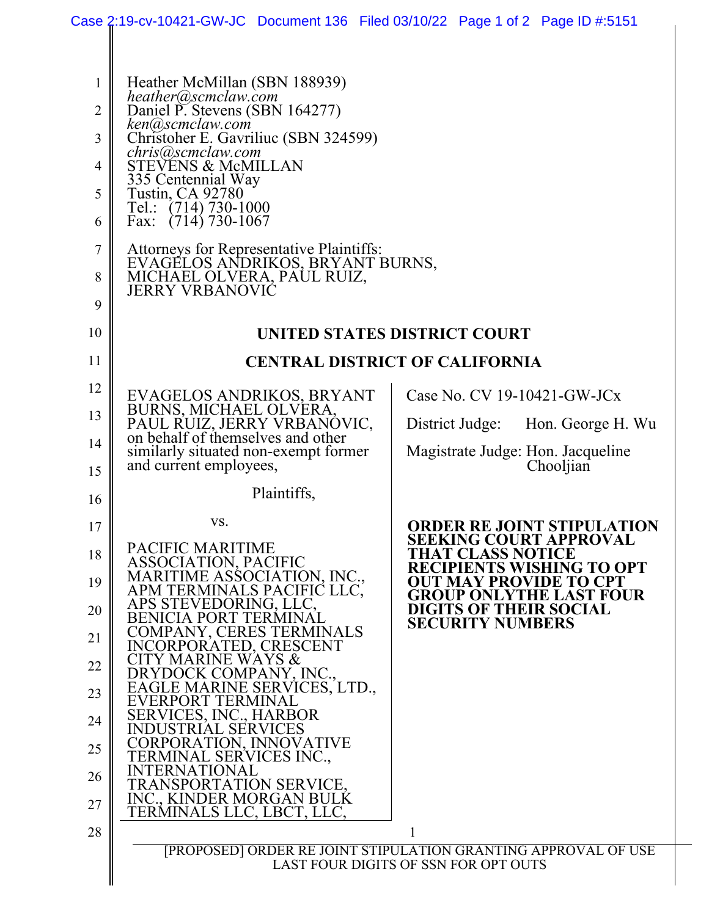|                                                                     | Case 2:19-cv-10421-GW-JC Document 136 Filed 03/10/22 Page 1 of 2 Page ID #:5151                                                                                                                                                                                                                                                                                                                                                            |                                                                                                     |  |
|---------------------------------------------------------------------|--------------------------------------------------------------------------------------------------------------------------------------------------------------------------------------------------------------------------------------------------------------------------------------------------------------------------------------------------------------------------------------------------------------------------------------------|-----------------------------------------------------------------------------------------------------|--|
| 1<br>$\overline{2}$<br>3<br>$\overline{4}$<br>5<br>6<br>7<br>8<br>9 | Heather McMillan (SBN 188939)<br>heather@scmclaw.com<br>Daniel P. Stevens (SBN 164277)<br>ken@scmclaw.com<br>Christoher E. Gavriliuc (SBN 324599)<br>chris@scmclaw.com<br><b>STEVENS &amp; McMILLAN</b><br>335 Centennial Way<br><b>Tustin, CA 92780</b><br>Tel.: (714) 730-1000<br>Fax: $(714)$ 730-1067<br>Attorneys for Representative Plaintiffs:<br>EVAGELOS ANDRIKOS, BRYANT BURNS,<br>MICHAEL OLVERA, PAUL RUIZ,<br>JERRY VRBANOVIC |                                                                                                     |  |
| 10                                                                  | UNITED STATES DISTRICT COURT                                                                                                                                                                                                                                                                                                                                                                                                               |                                                                                                     |  |
| 11                                                                  | <b>CENTRAL DISTRICT OF CALIFORNIA</b>                                                                                                                                                                                                                                                                                                                                                                                                      |                                                                                                     |  |
| 12                                                                  | EVAGELOS ANDRIKOS, BRYANT                                                                                                                                                                                                                                                                                                                                                                                                                  | Case No. CV 19-10421-GW-JCx                                                                         |  |
| 13                                                                  | BURNS, MICHAEL OLVERA, PAUL RUIZ, JERRY VRBANOVIC,<br>on behalf of themselves and other                                                                                                                                                                                                                                                                                                                                                    | District Judge: Hon. George H. Wu                                                                   |  |
| 14<br>15                                                            | similarly situated non-exempt former<br>and current employees,                                                                                                                                                                                                                                                                                                                                                                             | Magistrate Judge: Hon. Jacqueline<br>Chooljian                                                      |  |
| 16                                                                  | Plaintiffs,                                                                                                                                                                                                                                                                                                                                                                                                                                |                                                                                                     |  |
| 17                                                                  | VS.                                                                                                                                                                                                                                                                                                                                                                                                                                        | <b>ORDER RE JOINT STIPULATION</b>                                                                   |  |
| 18                                                                  | PACIFIC MARITIME<br>ASSOCIATION, PACIFIC                                                                                                                                                                                                                                                                                                                                                                                                   | <b>SEEKING COURT APPROVAL</b><br>THAT CLASS NOTICE                                                  |  |
| 19                                                                  | MARITIME ASSOCIATION, INC.,<br>APM TERMINALS PACIFIC LLC,                                                                                                                                                                                                                                                                                                                                                                                  | <b>RECIPIENTS WISHING TO OPT</b><br><b>OUT MAY PROVIDE TO CPT</b><br><b>GROUP ONLYTHE LAST FOUR</b> |  |
| 20                                                                  | APS STEVEDORING, LLC,<br>BENICIA PORT TERMINAL                                                                                                                                                                                                                                                                                                                                                                                             | <b>DIGITS OF THEIR SOCIAL</b><br><b>SECURITY NUMBERS</b>                                            |  |
| 21                                                                  | COMPANY, CERES TERMINALS<br>INCORPORATED, CRESCENT                                                                                                                                                                                                                                                                                                                                                                                         |                                                                                                     |  |
| 22                                                                  | <b>CITY MARINE WAYS &amp;</b><br>DRYDOCK COMPANY, INC.,                                                                                                                                                                                                                                                                                                                                                                                    |                                                                                                     |  |
| 23                                                                  | EAGLE MARINE SERVICES, LTD.,<br>EVERPORT TERMINAL<br>SERVICES, INC., HARBOR                                                                                                                                                                                                                                                                                                                                                                |                                                                                                     |  |
| 24                                                                  | <b>INDUSTRIAL SERVICES</b><br>CORPORATION, INNOVATIVE                                                                                                                                                                                                                                                                                                                                                                                      |                                                                                                     |  |
| 25                                                                  | TERMINAL SERVICES INC.,<br><b>INTERNATIONAL</b>                                                                                                                                                                                                                                                                                                                                                                                            |                                                                                                     |  |
| 26                                                                  | TRANSPORTATION SERVICE,<br>INC., KINDER MORGAN BULK                                                                                                                                                                                                                                                                                                                                                                                        |                                                                                                     |  |
| 27<br>28                                                            | TERMINALS LLC, LBCT, LLC,                                                                                                                                                                                                                                                                                                                                                                                                                  |                                                                                                     |  |
|                                                                     | [PROPOSED] ORDER RE JOINT STIPULATION GRANTING APPROVAL OF USE                                                                                                                                                                                                                                                                                                                                                                             |                                                                                                     |  |
|                                                                     | LAST FOUR DIGITS OF SSN FOR OPT OUTS                                                                                                                                                                                                                                                                                                                                                                                                       |                                                                                                     |  |